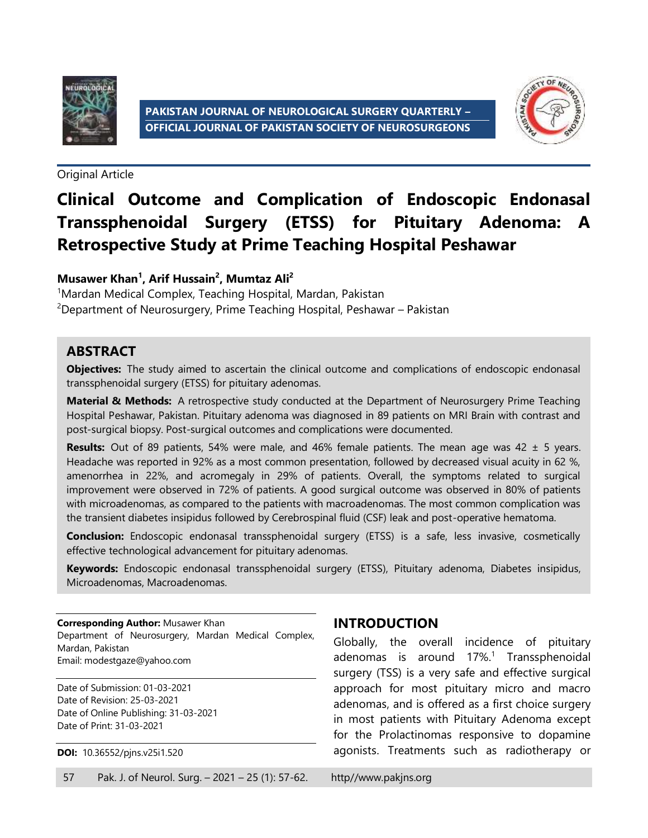



Original Article

# **Clinical Outcome and Complication of Endoscopic Endonasal Transsphenoidal Surgery (ETSS) for Pituitary Adenoma: A Retrospective Study at Prime Teaching Hospital Peshawar**

#### **Musawer Khan<sup>1</sup> , Arif Hussain<sup>2</sup> , Mumtaz Ali<sup>2</sup>**

<sup>1</sup>Mardan Medical Complex, Teaching Hospital, Mardan, Pakistan <sup>2</sup>Department of Neurosurgery, Prime Teaching Hospital, Peshawar – Pakistan

#### **ABSTRACT**

**Objectives:** The study aimed to ascertain the clinical outcome and complications of endoscopic endonasal transsphenoidal surgery (ETSS) for pituitary adenomas.

**Material & Methods:** A retrospective study conducted at the Department of Neurosurgery Prime Teaching Hospital Peshawar, Pakistan. Pituitary adenoma was diagnosed in 89 patients on MRI Brain with contrast and post-surgical biopsy. Post-surgical outcomes and complications were documented.

**Results:** Out of 89 patients, 54% were male, and 46% female patients. The mean age was 42 ± 5 years. Headache was reported in 92% as a most common presentation, followed by decreased visual acuity in 62 %, amenorrhea in 22%, and acromegaly in 29% of patients. Overall, the symptoms related to surgical improvement were observed in 72% of patients. A good surgical outcome was observed in 80% of patients with microadenomas, as compared to the patients with macroadenomas. The most common complication was the transient diabetes insipidus followed by Cerebrospinal fluid (CSF) leak and post-operative hematoma.

**Conclusion:** Endoscopic endonasal transsphenoidal surgery (ETSS) is a safe, less invasive, cosmetically effective technological advancement for pituitary adenomas.

**Keywords:** Endoscopic endonasal transsphenoidal surgery (ETSS), Pituitary adenoma, Diabetes insipidus, Microadenomas, Macroadenomas.

**Corresponding Author:** Musawer Khan Department of Neurosurgery, Mardan Medical Complex, Mardan, Pakistan Email[: modestgaze@yahoo.com](mailto:modestgaze@yahoo.com)

Date of Submission: 01-03-2021 Date of Revision: 25-03-2021 Date of Online Publishing: 31-03-2021 Date of Print: 31-03-2021

**DOI:** 10.36552/pjns.v25i1.520

### **INTRODUCTION**

Globally, the overall incidence of pituitary adenomas is around 17%. 1 Transsphenoidal surgery (TSS) is a very safe and effective surgical approach for most pituitary micro and macro adenomas, and is offered as a first choice surgery in most patients with Pituitary Adenoma except for the Prolactinomas responsive to dopamine agonists. Treatments such as radiotherapy or

57 Pak. J. of Neurol. Surg. – 2021 – 25 (1): 57-62. http//www.pakjns.org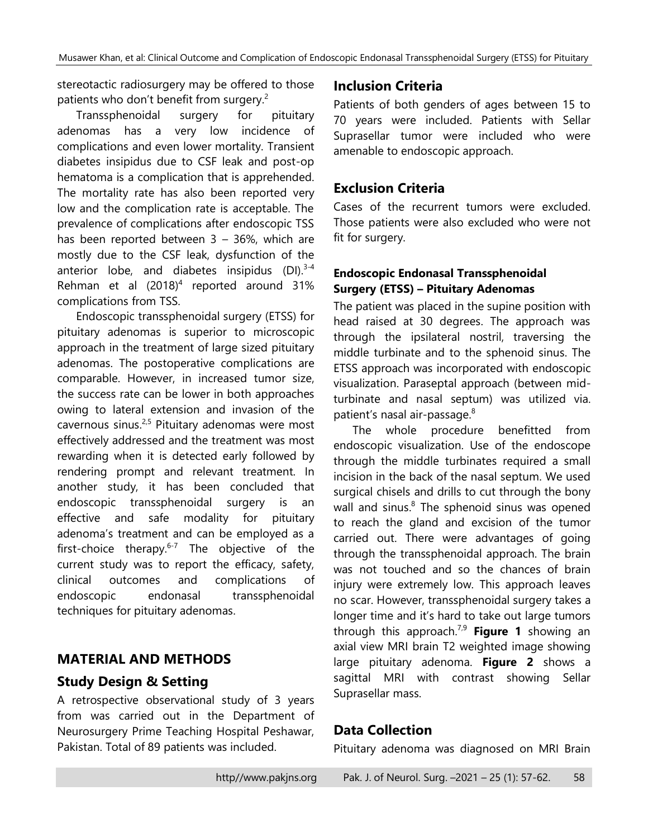stereotactic radiosurgery may be offered to those patients who don't benefit from surgery.<sup>2</sup>

Transsphenoidal surgery for pituitary adenomas has a very low incidence of complications and even lower mortality. Transient diabetes insipidus due to CSF leak and post-op hematoma is a complication that is apprehended. The mortality rate has also been reported very low and the complication rate is acceptable. The prevalence of complications after endoscopic TSS has been reported between 3 – 36%, which are mostly due to the CSF leak, dysfunction of the anterior lobe, and diabetes insipidus (DI).<sup>3-4</sup> Rehman et al  $(2018)^4$  reported around 31% complications from TSS.

Endoscopic transsphenoidal surgery (ETSS) for pituitary adenomas is superior to microscopic approach in the treatment of large sized pituitary adenomas. The postoperative complications are comparable. However, in increased tumor size, the success rate can be lower in both approaches owing to lateral extension and invasion of the cavernous sinus.<sup>2,5</sup> Pituitary adenomas were most effectively addressed and the treatment was most rewarding when it is detected early followed by rendering prompt and relevant treatment. In another study, it has been concluded that endoscopic transsphenoidal surgery is an effective and safe modality for pituitary adenoma's treatment and can be employed as a first-choice therapy.<sup>6-7</sup> The objective of the current study was to report the efficacy, safety, clinical outcomes and complications of endoscopic endonasal transsphenoidal techniques for pituitary adenomas.

# **MATERIAL AND METHODS**

### **Study Design & Setting**

A retrospective observational study of 3 years from was carried out in the Department of Neurosurgery Prime Teaching Hospital Peshawar, Pakistan. Total of 89 patients was included.

### **Inclusion Criteria**

Patients of both genders of ages between 15 to 70 years were included. Patients with Sellar Suprasellar tumor were included who were amenable to endoscopic approach.

### **Exclusion Criteria**

Cases of the recurrent tumors were excluded. Those patients were also excluded who were not fit for surgery.

#### **Endoscopic Endonasal Transsphenoidal Surgery (ETSS) – Pituitary Adenomas**

The patient was placed in the supine position with head raised at 30 degrees. The approach was through the ipsilateral nostril, traversing the middle turbinate and to the sphenoid sinus. The ETSS approach was incorporated with endoscopic visualization. Paraseptal approach (between midturbinate and nasal septum) was utilized via. patient's nasal air-passage. 8

The whole procedure benefitted from endoscopic visualization. Use of the endoscope through the middle turbinates required a small incision in the back of the nasal septum. We used surgical chisels and drills to cut through the bony wall and sinus.<sup>8</sup> The sphenoid sinus was opened to reach the gland and excision of the tumor carried out. There were advantages of going through the transsphenoidal approach. The brain was not touched and so the chances of brain injury were extremely low. This approach leaves no scar. However, transsphenoidal surgery takes a longer time and it's hard to take out large tumors through this approach. 7,9 **Figure 1** showing an axial view MRI brain T2 weighted image showing large pituitary adenoma. **Figure 2** shows a sagittal MRI with contrast showing Sellar Suprasellar mass.

### **Data Collection**

Pituitary adenoma was diagnosed on MRI Brain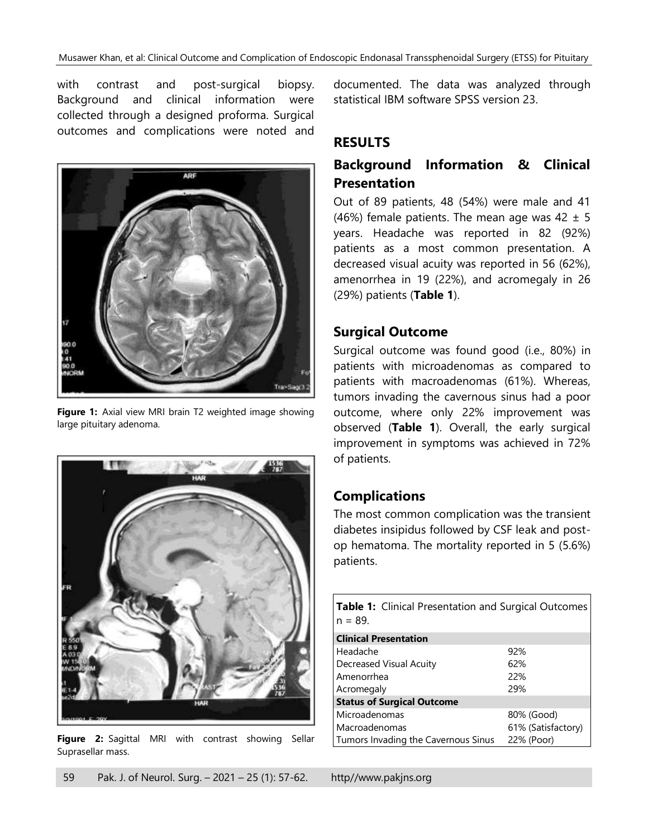with contrast and post-surgical biopsy. Background and clinical information were collected through a designed proforma. Surgical outcomes and complications were noted and



**Figure 1:** Axial view MRI brain T2 weighted image showing large pituitary adenoma.



**Figure 2:** Sagittal MRI with contrast showing Sellar Suprasellar mass.

documented. The data was analyzed through statistical IBM software SPSS version 23.

### **RESULTS**

# **Background Information & Clinical Presentation**

Out of 89 patients, 48 (54%) were male and 41 (46%) female patients. The mean age was  $42 \pm 5$ years. Headache was reported in 82 (92%) patients as a most common presentation. A decreased visual acuity was reported in 56 (62%), amenorrhea in 19 (22%), and acromegaly in 26 (29%) patients (**Table 1**).

### **Surgical Outcome**

Surgical outcome was found good (i.e., 80%) in patients with microadenomas as compared to patients with macroadenomas (61%). Whereas, tumors invading the cavernous sinus had a poor outcome, where only 22% improvement was observed (**Table 1**). Overall, the early surgical improvement in symptoms was achieved in 72% of patients.

# **Complications**

The most common complication was the transient diabetes insipidus followed by CSF leak and postop hematoma. The mortality reported in 5 (5.6%) patients.

| <b>Table 1:</b> Clinical Presentation and Surgical Outcomes<br>$n = 89.$ |                    |  |
|--------------------------------------------------------------------------|--------------------|--|
| <b>Clinical Presentation</b>                                             |                    |  |
| Headache                                                                 | 92%                |  |
| Decreased Visual Acuity                                                  | 62%                |  |
| Amenorrhea                                                               | 22%                |  |
| Acromegaly                                                               | 29%                |  |
| <b>Status of Surgical Outcome</b>                                        |                    |  |
| Microadenomas                                                            | 80% (Good)         |  |
| Macroadenomas                                                            | 61% (Satisfactory) |  |
| Tumors Invading the Cavernous Sinus                                      | 22% (Poor)         |  |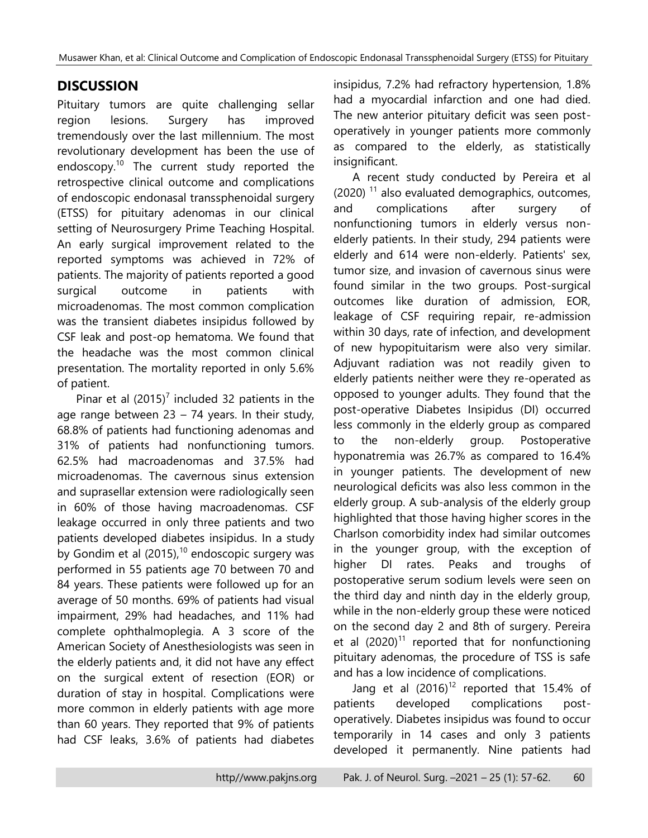# **DISCUSSION**

Pituitary tumors are quite challenging sellar region lesions. Surgery has improved tremendously over the last millennium. The most revolutionary development has been the use of endoscopy. <sup>10</sup> The current study reported the retrospective clinical outcome and complications of endoscopic endonasal transsphenoidal surgery (ETSS) for pituitary adenomas in our clinical setting of Neurosurgery Prime Teaching Hospital. An early surgical improvement related to the reported symptoms was achieved in 72% of patients. The majority of patients reported a good surgical outcome in patients with microadenomas. The most common complication was the transient diabetes insipidus followed by CSF leak and post-op hematoma. We found that the headache was the most common clinical presentation. The mortality reported in only 5.6% of patient.

Pinar et al  $(2015)^7$  included 32 patients in the age range between  $23 - 74$  years. In their study, 68.8% of patients had functioning adenomas and 31% of patients had nonfunctioning tumors. 62.5% had macroadenomas and 37.5% had microadenomas. The cavernous sinus extension and suprasellar extension were radiologically seen in 60% of those having macroadenomas. CSF leakage occurred in only three patients and two patients developed diabetes insipidus. In a study by Gondim et al  $(2015)$ ,<sup>10</sup> endoscopic surgery was performed in 55 patients age 70 between 70 and 84 years. These patients were followed up for an average of 50 months. 69% of patients had visual impairment, 29% had headaches, and 11% had complete ophthalmoplegia. A 3 score of the American Society of Anesthesiologists was seen in the elderly patients and, it did not have any effect on the surgical extent of resection (EOR) or duration of stay in hospital. Complications were more common in elderly patients with age more than 60 years. They reported that 9% of patients had CSF leaks, 3.6% of patients had diabetes

insipidus, 7.2% had refractory hypertension, 1.8% had a myocardial infarction and one had died. The new anterior pituitary deficit was seen postoperatively in younger patients more commonly as compared to the elderly, as statistically insignificant.

A recent study conducted by Pereira et al  $(2020)$ <sup>11</sup> also evaluated demographics, outcomes, and complications after surgery of nonfunctioning tumors in elderly versus nonelderly patients. In their study, 294 patients were elderly and 614 were non-elderly. Patients' sex, tumor size, and invasion of cavernous sinus were found similar in the two groups. Post-surgical outcomes like duration of admission, EOR, leakage of CSF requiring repair, re-admission within 30 days, rate of infection, and development of new hypopituitarism were also very similar. Adjuvant radiation was not readily given to elderly patients neither were they re-operated as opposed to younger adults. They found that the post-operative Diabetes Insipidus (DI) occurred less commonly in the elderly group as compared to the non-elderly group. Postoperative hyponatremia was 26.7% as compared to 16.4% in younger patients. The development of new neurological deficits was also less common in the elderly group. A sub-analysis of the elderly group highlighted that those having higher scores in the Charlson comorbidity index had similar outcomes in the younger group, with the exception of higher DI rates. Peaks and troughs of postoperative serum sodium levels were seen on the third day and ninth day in the elderly group, while in the non-elderly group these were noticed on the second day 2 and 8th of surgery. Pereira et al  $(2020)^{11}$  reported that for nonfunctioning pituitary adenomas, the procedure of TSS is safe and has a low incidence of complications.

Jang et al  $(2016)^{12}$  reported that 15.4% of patients developed complications postoperatively. Diabetes insipidus was found to occur temporarily in 14 cases and only 3 patients developed it permanently. Nine patients had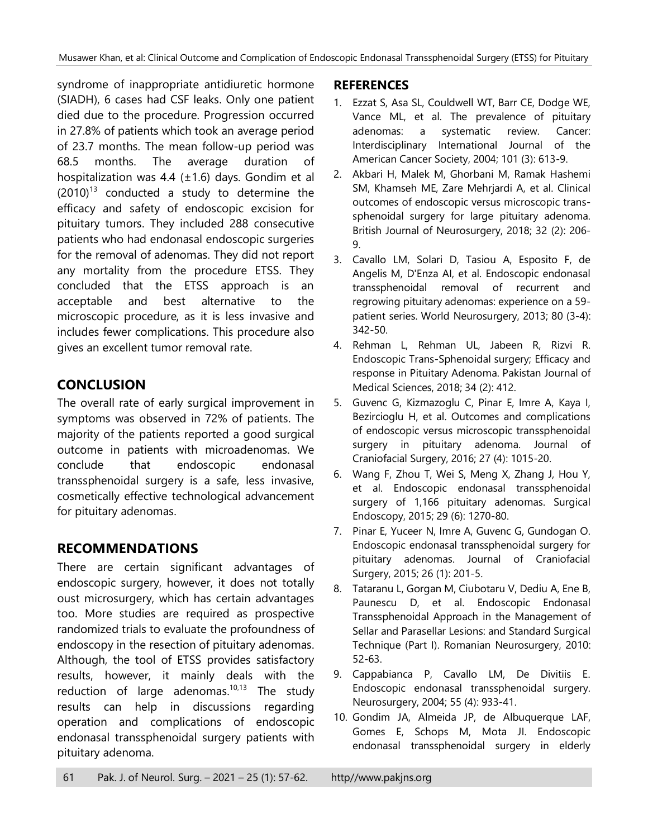syndrome of inappropriate antidiuretic hormone (SIADH), 6 cases had CSF leaks. Only one patient died due to the procedure. Progression occurred in 27.8% of patients which took an average period of 23.7 months. The mean follow-up period was 68.5 months. The average duration of hospitalization was 4.4 ( $\pm$ 1.6) days. Gondim et al  $(2010)^{13}$  conducted a study to determine the efficacy and safety of endoscopic excision for pituitary tumors. They included 288 consecutive patients who had endonasal endoscopic surgeries for the removal of adenomas. They did not report any mortality from the procedure ETSS. They concluded that the ETSS approach is an acceptable and best alternative to the microscopic procedure, as it is less invasive and includes fewer complications. This procedure also gives an excellent tumor removal rate.

# **CONCLUSION**

The overall rate of early surgical improvement in symptoms was observed in 72% of patients. The majority of the patients reported a good surgical outcome in patients with microadenomas. We conclude that endoscopic endonasal transsphenoidal surgery is a safe, less invasive, cosmetically effective technological advancement for pituitary adenomas.

# **RECOMMENDATIONS**

There are certain significant advantages of endoscopic surgery, however, it does not totally oust microsurgery, which has certain advantages too. More studies are required as prospective randomized trials to evaluate the profoundness of endoscopy in the resection of pituitary adenomas. Although, the tool of ETSS provides satisfactory results, however, it mainly deals with the reduction of large adenomas.<sup>10,13</sup> The study results can help in discussions regarding operation and complications of endoscopic endonasal transsphenoidal surgery patients with pituitary adenoma.

# **REFERENCES**

- 1. Ezzat S, Asa SL, Couldwell WT, Barr CE, Dodge WE, Vance ML, et al. The prevalence of pituitary adenomas: a systematic review. Cancer: Interdisciplinary International Journal of the American Cancer Society, 2004; 101 (3): 613-9.
- 2. Akbari H, Malek M, Ghorbani M, Ramak Hashemi SM, Khamseh ME, Zare Mehrjardi A, et al. Clinical outcomes of endoscopic versus microscopic transsphenoidal surgery for large pituitary adenoma. British Journal of Neurosurgery, 2018; 32 (2): 206- 9.
- 3. Cavallo LM, Solari D, Tasiou A, Esposito F, de Angelis M, D'Enza AI, et al. Endoscopic endonasal transsphenoidal removal of recurrent and regrowing pituitary adenomas: experience on a 59 patient series. World Neurosurgery, 2013; 80 (3-4): 342-50.
- 4. Rehman L, Rehman UL, Jabeen R, Rizvi R. Endoscopic Trans-Sphenoidal surgery; Efficacy and response in Pituitary Adenoma. Pakistan Journal of Medical Sciences, 2018; 34 (2): 412.
- 5. Guvenc G, Kizmazoglu C, Pinar E, Imre A, Kaya I, Bezircioglu H, et al. Outcomes and complications of endoscopic versus microscopic transsphenoidal surgery in pituitary adenoma. Journal of Craniofacial Surgery, 2016; 27 (4): 1015-20.
- 6. Wang F, Zhou T, Wei S, Meng X, Zhang J, Hou Y, et al. Endoscopic endonasal transsphenoidal surgery of 1,166 pituitary adenomas. Surgical Endoscopy, 2015; 29 (6): 1270-80.
- 7. Pinar E, Yuceer N, Imre A, Guvenc G, Gundogan O. Endoscopic endonasal transsphenoidal surgery for pituitary adenomas. Journal of Craniofacial Surgery, 2015; 26 (1): 201-5.
- 8. Tataranu L, Gorgan M, Ciubotaru V, Dediu A, Ene B, Paunescu D, et al. Endoscopic Endonasal Transsphenoidal Approach in the Management of Sellar and Parasellar Lesions: and Standard Surgical Technique (Part I). Romanian Neurosurgery, 2010: 52-63.
- 9. Cappabianca P, Cavallo LM, De Divitiis E. Endoscopic endonasal transsphenoidal surgery. Neurosurgery, 2004; 55 (4): 933-41.
- 10. Gondim JA, Almeida JP, de Albuquerque LAF, Gomes E, Schops M, Mota JI. Endoscopic endonasal transsphenoidal surgery in elderly